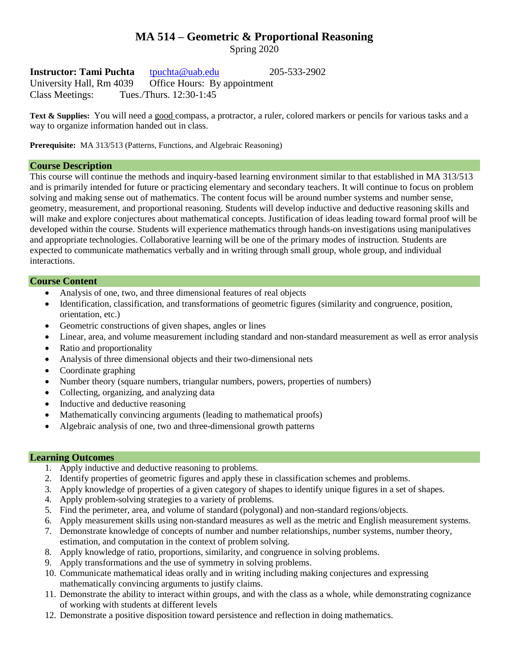# **MA 514 – Geometric & Proportional Reasoning**

Spring 2020

**Instructor: Tami Puchta** [tpuchta@uab.edu](mailto:tpuchta@uab.edu) 205-533-2902 University Hall, Rm 4039 Office Hours: By appointment Class Meetings: Tues./Thurs. 12:30-1:45

**Text & Supplies:** You will need a good compass, a protractor, a ruler, colored markers or pencils for various tasks and a way to organize information handed out in class.

**Prerequisite:** MA 313/513 (Patterns, Functions, and Algebraic Reasoning)

# **Course Description**

This course will continue the methods and inquiry-based learning environment similar to that established in MA 313/513 and is primarily intended for future or practicing elementary and secondary teachers. It will continue to focus on problem solving and making sense out of mathematics. The content focus will be around number systems and number sense, geometry, measurement, and proportional reasoning. Students will develop inductive and deductive reasoning skills and will make and explore conjectures about mathematical concepts. Justification of ideas leading toward formal proof will be developed within the course. Students will experience mathematics through hands-on investigations using manipulatives and appropriate technologies. Collaborative learning will be one of the primary modes of instruction. Students are expected to communicate mathematics verbally and in writing through small group, whole group, and individual interactions.

## **Course Content**

- Analysis of one, two, and three dimensional features of real objects
- Identification, classification, and transformations of geometric figures (similarity and congruence, position, orientation, etc.)
- Geometric constructions of given shapes, angles or lines
- Linear, area, and volume measurement including standard and non-standard measurement as well as error analysis
- Ratio and proportionality
- Analysis of three dimensional objects and their two-dimensional nets
- Coordinate graphing
- Number theory (square numbers, triangular numbers, powers, properties of numbers)
- Collecting, organizing, and analyzing data
- Inductive and deductive reasoning
- Mathematically convincing arguments (leading to mathematical proofs)
- Algebraic analysis of one, two and three-dimensional growth patterns

# **Learning Outcomes**

- 1. Apply inductive and deductive reasoning to problems.
- 2. Identify properties of geometric figures and apply these in classification schemes and problems.
- 3. Apply knowledge of properties of a given category of shapes to identify unique figures in a set of shapes.
- 4. Apply problem-solving strategies to a variety of problems.
- 5. Find the perimeter, area, and volume of standard (polygonal) and non-standard regions/objects.
- 6. Apply measurement skills using non-standard measures as well as the metric and English measurement systems.
- 7. Demonstrate knowledge of concepts of number and number relationships, number systems, number theory, estimation, and computation in the context of problem solving.
- 8. Apply knowledge of ratio, proportions, similarity, and congruence in solving problems.
- 9. Apply transformations and the use of symmetry in solving problems.
- 10. Communicate mathematical ideas orally and in writing including making conjectures and expressing mathematically convincing arguments to justify claims.
- 11. Demonstrate the ability to interact within groups, and with the class as a whole, while demonstrating cognizance of working with students at different levels
- 12. Demonstrate a positive disposition toward persistence and reflection in doing mathematics.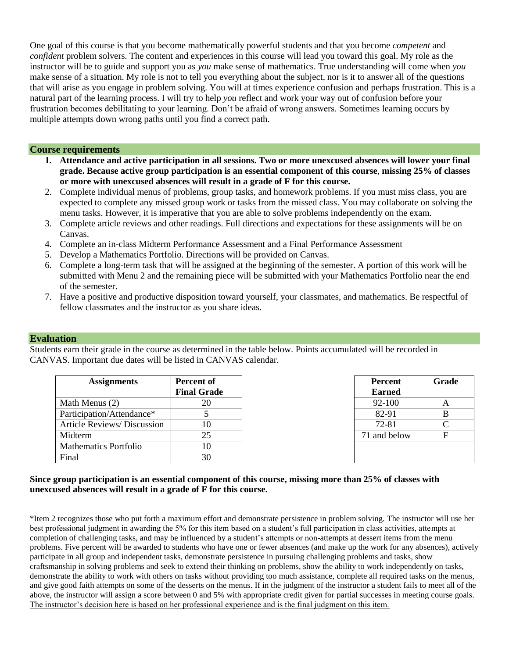One goal of this course is that you become mathematically powerful students and that you become *competent* and *confident* problem solvers. The content and experiences in this course will lead you toward this goal. My role as the instructor will be to guide and support you as *you* make sense of mathematics. True understanding will come when *you* make sense of a situation. My role is not to tell you everything about the subject, nor is it to answer all of the questions that will arise as you engage in problem solving. You will at times experience confusion and perhaps frustration. This is a natural part of the learning process. I will try to help *you* reflect and work your way out of confusion before your frustration becomes debilitating to your learning. Don't be afraid of wrong answers. Sometimes learning occurs by multiple attempts down wrong paths until you find a correct path.

#### **Course requirements**

- **1. Attendance and active participation in all sessions. Two or more unexcused absences will lower your final grade. Because active group participation is an essential component of this course**, **missing 25% of classes or more with unexcused absences will result in a grade of F for this course.**
- 2. Complete individual menus of problems, group tasks, and homework problems. If you must miss class, you are expected to complete any missed group work or tasks from the missed class. You may collaborate on solving the menu tasks. However, it is imperative that you are able to solve problems independently on the exam.
- 3. Complete article reviews and other readings. Full directions and expectations for these assignments will be on Canvas.
- 4. Complete an in-class Midterm Performance Assessment and a Final Performance Assessment
- 5. Develop a Mathematics Portfolio. Directions will be provided on Canvas.
- 6. Complete a long-term task that will be assigned at the beginning of the semester. A portion of this work will be submitted with Menu 2 and the remaining piece will be submitted with your Mathematics Portfolio near the end of the semester.
- 7. Have a positive and productive disposition toward yourself, your classmates, and mathematics. Be respectful of fellow classmates and the instructor as you share ideas.

## **Evaluation**

Students earn their grade in the course as determined in the table below. Points accumulated will be recorded in CANVAS. Important due dates will be listed in CANVAS calendar.

| <b>Assignments</b>                 | <b>Percent of</b><br><b>Final Grade</b> | <b>Percent</b><br><b>Earned</b> | Gra |
|------------------------------------|-----------------------------------------|---------------------------------|-----|
| Math Menus (2)                     | 20                                      | 92-100                          | A   |
| Participation/Attendance*          |                                         | 82-91                           | B   |
| <b>Article Reviews/ Discussion</b> | 10                                      | 72-81                           |     |
| Midterm                            | 25                                      | 71 and below                    | F   |
| <b>Mathematics Portfolio</b>       | 10                                      |                                 |     |
| Final                              | 30                                      |                                 |     |

| <b>Percent</b> | Grade |  |
|----------------|-------|--|
| <b>Earned</b>  |       |  |
| 92-100         | А     |  |
| 82-91          | B     |  |
| 72-81          | C     |  |
| 71 and below   | F     |  |
|                |       |  |
|                |       |  |

## **Since group participation is an essential component of this course, missing more than 25% of classes with unexcused absences will result in a grade of F for this course.**

\*Item 2 recognizes those who put forth a maximum effort and demonstrate persistence in problem solving. The instructor will use her best professional judgment in awarding the 5% for this item based on a student's full participation in class activities, attempts at completion of challenging tasks, and may be influenced by a student's attempts or non-attempts at dessert items from the menu problems. Five percent will be awarded to students who have one or fewer absences (and make up the work for any absences), actively participate in all group and independent tasks, demonstrate persistence in pursuing challenging problems and tasks, show craftsmanship in solving problems and seek to extend their thinking on problems, show the ability to work independently on tasks, demonstrate the ability to work with others on tasks without providing too much assistance, complete all required tasks on the menus, and give good faith attempts on some of the desserts on the menus. If in the judgment of the instructor a student fails to meet all of the above, the instructor will assign a score between 0 and 5% with appropriate credit given for partial successes in meeting course goals. The instructor's decision here is based on her professional experience and is the final judgment on this item.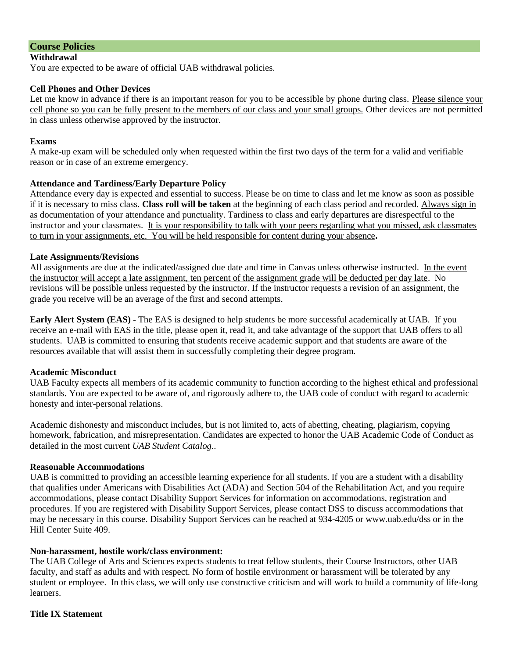# **Course Policies**

#### **Withdrawal**

You are expected to be aware of official UAB withdrawal policies.

## **Cell Phones and Other Devices**

Let me know in advance if there is an important reason for you to be accessible by phone during class. Please silence your cell phone so you can be fully present to the members of our class and your small groups. Other devices are not permitted in class unless otherwise approved by the instructor.

#### **Exams**

A make-up exam will be scheduled only when requested within the first two days of the term for a valid and verifiable reason or in case of an extreme emergency.

## **Attendance and Tardiness/Early Departure Policy**

Attendance every day is expected and essential to success. Please be on time to class and let me know as soon as possible if it is necessary to miss class. **Class roll will be taken** at the beginning of each class period and recorded. Always sign in as documentation of your attendance and punctuality. Tardiness to class and early departures are disrespectful to the instructor and your classmates. It is your responsibility to talk with your peers regarding what you missed, ask classmates to turn in your assignments, etc. You will be held responsible for content during your absence**.** 

#### **Late Assignments/Revisions**

All assignments are due at the indicated/assigned due date and time in Canvas unless otherwise instructed. In the event the instructor will accept a late assignment, ten percent of the assignment grade will be deducted per day late. No revisions will be possible unless requested by the instructor. If the instructor requests a revision of an assignment, the grade you receive will be an average of the first and second attempts.

**Early Alert System (EAS)** - The EAS is designed to help students be more successful academically at UAB. If you receive an e-mail with EAS in the title, please open it, read it, and take advantage of the support that UAB offers to all students. UAB is committed to ensuring that students receive academic support and that students are aware of the resources available that will assist them in successfully completing their degree program.

## **Academic Misconduct**

UAB Faculty expects all members of its academic community to function according to the highest ethical and professional standards. You are expected to be aware of, and rigorously adhere to, the UAB code of conduct with regard to academic honesty and inter-personal relations.

Academic dishonesty and misconduct includes, but is not limited to, acts of abetting, cheating, plagiarism, copying homework, fabrication, and misrepresentation. Candidates are expected to honor the UAB Academic Code of Conduct as detailed in the most current *UAB Student Catalog.*.

## **Reasonable Accommodations**

UAB is committed to providing an accessible learning experience for all students. If you are a student with a disability that qualifies under Americans with Disabilities Act (ADA) and Section 504 of the Rehabilitation Act, and you require accommodations, please contact Disability Support Services for information on accommodations, registration and procedures. If you are registered with Disability Support Services, please contact DSS to discuss accommodations that may be necessary in this course. Disability Support Services can be reached at 934-4205 or www.uab.edu/dss or in the Hill Center Suite 409.

#### **Non-harassment, hostile work/class environment:**

The UAB College of Arts and Sciences expects students to treat fellow students, their Course Instructors, other UAB faculty, and staff as adults and with respect. No form of hostile environment or harassment will be tolerated by any student or employee. In this class, we will only use constructive criticism and will work to build a community of life-long learners.

#### **Title IX Statement**